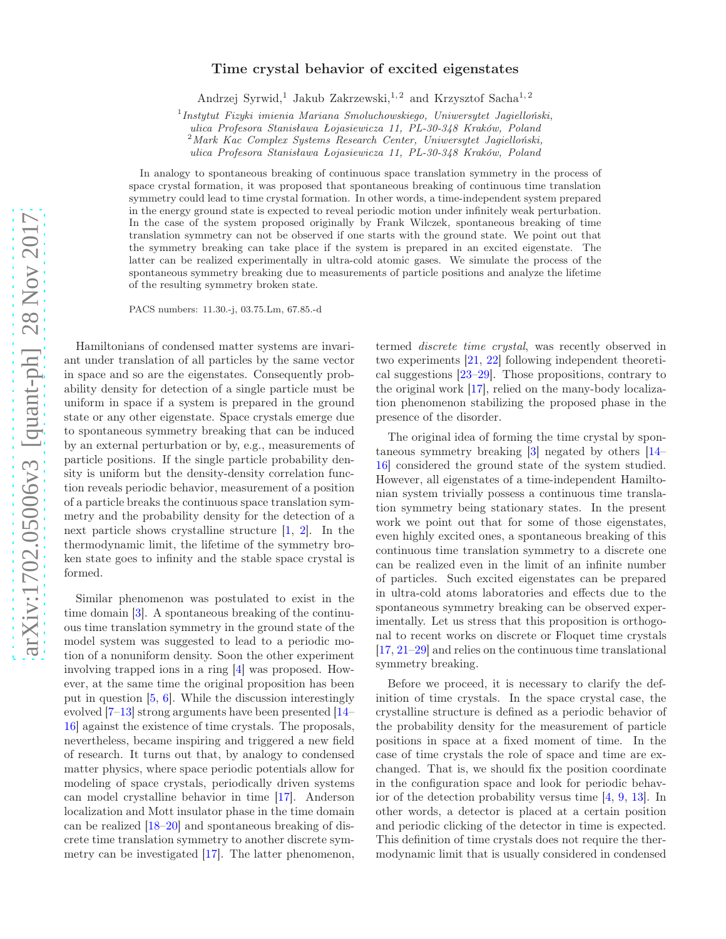## Time crystal behavior of excited eigenstates

Andrzej Syrwid,<sup>1</sup> Jakub Zakrzewski,<sup>1,2</sup> and Krzysztof Sacha<sup>1,2</sup>

<sup>1</sup> Instytut Fizyki imienia Mariana Smoluchowskiego, Uniwersytet Jagielloński,

 $2^2$ Mark Kac Complex Systems Research Center, Uniwersytet Jagielloński,

ulica Profesora Stanisława Łojasiewicza 11, PL-30-348 Kraków, Poland

In analogy to spontaneous breaking of continuous space translation symmetry in the process of space crystal formation, it was proposed that spontaneous breaking of continuous time translation symmetry could lead to time crystal formation. In other words, a time-independent system prepared in the energy ground state is expected to reveal periodic motion under infinitely weak perturbation. In the case of the system proposed originally by Frank Wilczek, spontaneous breaking of time translation symmetry can not be observed if one starts with the ground state. We point out that the symmetry breaking can take place if the system is prepared in an excited eigenstate. The latter can be realized experimentally in ultra-cold atomic gases. We simulate the process of the spontaneous symmetry breaking due to measurements of particle positions and analyze the lifetime of the resulting symmetry broken state.

PACS numbers: 11.30.-j, 03.75.Lm, 67.85.-d

Hamiltonians of condensed matter systems are invariant under translation of all particles by the same vector in space and so are the eigenstates. Consequently probability density for detection of a single particle must be uniform in space if a system is prepared in the ground state or any other eigenstate. Space crystals emerge due to spontaneous symmetry breaking that can be induced by an external perturbation or by, e.g., measurements of particle positions. If the single particle probability density is uniform but the density-density correlation function reveals periodic behavior, measurement of a position of a particle breaks the continuous space translation symmetry and the probability density for the detection of a next particle shows crystalline structure [\[1,](#page-4-0) [2\]](#page-4-1). In the thermodynamic limit, the lifetime of the symmetry broken state goes to infinity and the stable space crystal is formed.

Similar phenomenon was postulated to exist in the time domain [\[3](#page-4-2)]. A spontaneous breaking of the continuous time translation symmetry in the ground state of the model system was suggested to lead to a periodic motion of a nonuniform density. Soon the other experiment involving trapped ions in a ring [\[4\]](#page-4-3) was proposed. However, at the same time the original proposition has been put in question [\[5](#page-4-4), [6](#page-4-5)]. While the discussion interestingly evolved [\[7](#page-4-6)[–13](#page-4-7)] strong arguments have been presented [\[14](#page-4-8)– [16\]](#page-4-9) against the existence of time crystals. The proposals, nevertheless, became inspiring and triggered a new field of research. It turns out that, by analogy to condensed matter physics, where space periodic potentials allow for modeling of space crystals, periodically driven systems can model crystalline behavior in time [\[17\]](#page-4-10). Anderson localization and Mott insulator phase in the time domain can be realized [\[18](#page-4-11)[–20\]](#page-4-12) and spontaneous breaking of discrete time translation symmetry to another discrete symmetry can be investigated [\[17](#page-4-10)]. The latter phenomenon,

termed discrete time crystal, was recently observed in two experiments [\[21](#page-4-13), [22](#page-4-14)] following independent theoretical suggestions [\[23](#page-4-15)[–29\]](#page-4-16). Those propositions, contrary to the original work [\[17](#page-4-10)], relied on the many-body localization phenomenon stabilizing the proposed phase in the presence of the disorder.

The original idea of forming the time crystal by spontaneous symmetry breaking [\[3](#page-4-2)] negated by others [\[14](#page-4-8)– [16](#page-4-9)] considered the ground state of the system studied. However, all eigenstates of a time-independent Hamiltonian system trivially possess a continuous time translation symmetry being stationary states. In the present work we point out that for some of those eigenstates, even highly excited ones, a spontaneous breaking of this continuous time translation symmetry to a discrete one can be realized even in the limit of an infinite number of particles. Such excited eigenstates can be prepared in ultra-cold atoms laboratories and effects due to the spontaneous symmetry breaking can be observed experimentally. Let us stress that this proposition is orthogonal to recent works on discrete or Floquet time crystals [\[17,](#page-4-10) [21](#page-4-13)[–29\]](#page-4-16) and relies on the continuous time translational symmetry breaking.

Before we proceed, it is necessary to clarify the definition of time crystals. In the space crystal case, the crystalline structure is defined as a periodic behavior of the probability density for the measurement of particle positions in space at a fixed moment of time. In the case of time crystals the role of space and time are exchanged. That is, we should fix the position coordinate in the configuration space and look for periodic behavior of the detection probability versus time [\[4,](#page-4-3) [9,](#page-4-17) [13\]](#page-4-7). In other words, a detector is placed at a certain position and periodic clicking of the detector in time is expected. This definition of time crystals does not require the thermodynamic limit that is usually considered in condensed

ulica Profesora Stanisława Łojasiewicza 11, PL-30-348 Kraków, Poland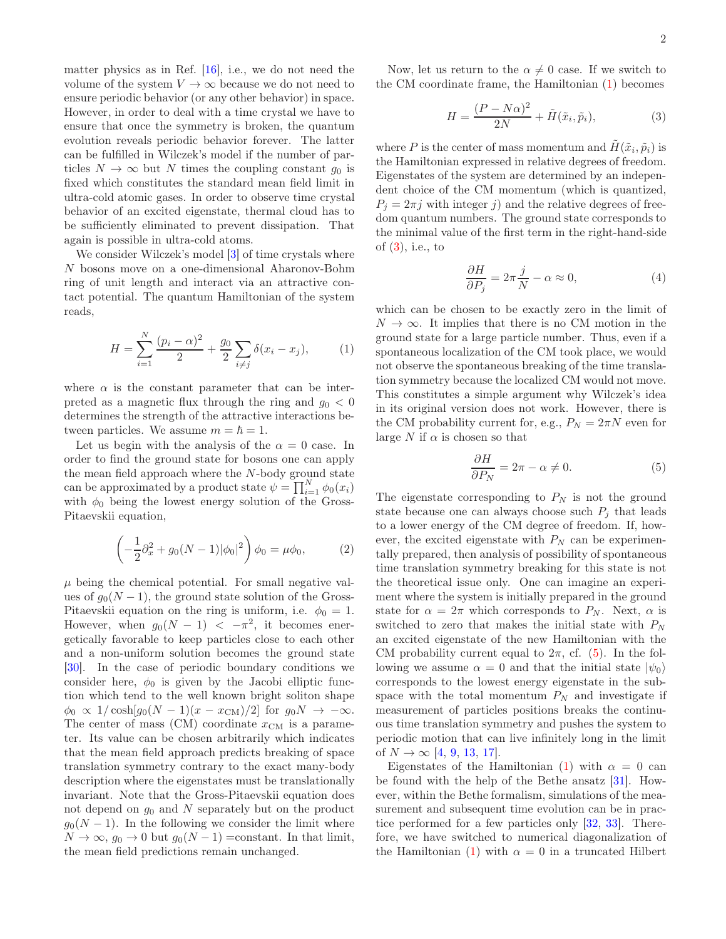matter physics as in Ref. [\[16\]](#page-4-9), i.e., we do not need the volume of the system  $V \to \infty$  because we do not need to ensure periodic behavior (or any other behavior) in space. However, in order to deal with a time crystal we have to ensure that once the symmetry is broken, the quantum evolution reveals periodic behavior forever. The latter can be fulfilled in Wilczek's model if the number of particles  $N \to \infty$  but N times the coupling constant  $g_0$  is fixed which constitutes the standard mean field limit in ultra-cold atomic gases. In order to observe time crystal behavior of an excited eigenstate, thermal cloud has to be sufficiently eliminated to prevent dissipation. That again is possible in ultra-cold atoms.

We consider Wilczek's model [\[3](#page-4-2)] of time crystals where N bosons move on a one-dimensional Aharonov-Bohm ring of unit length and interact via an attractive contact potential. The quantum Hamiltonian of the system reads,

<span id="page-1-0"></span>
$$
H = \sum_{i=1}^{N} \frac{(p_i - \alpha)^2}{2} + \frac{g_0}{2} \sum_{i \neq j} \delta(x_i - x_j), \tag{1}
$$

where  $\alpha$  is the constant parameter that can be interpreted as a magnetic flux through the ring and  $q_0 < 0$ determines the strength of the attractive interactions between particles. We assume  $m = \hbar = 1$ .

Let us begin with the analysis of the  $\alpha = 0$  case. In order to find the ground state for bosons one can apply the mean field approach where the  $N$ -body ground state can be approximated by a product state  $\psi = \prod_{i=1}^{N} \phi_0(x_i)$ with  $\phi_0$  being the lowest energy solution of the Gross-Pitaevskii equation,

$$
\left(-\frac{1}{2}\partial_x^2 + g_0(N-1)|\phi_0|^2\right)\phi_0 = \mu\phi_0,\tag{2}
$$

 $\mu$  being the chemical potential. For small negative values of  $g_0(N-1)$ , the ground state solution of the Gross-Pitaevskii equation on the ring is uniform, i.e.  $\phi_0 = 1$ . However, when  $g_0(N-1) < -\pi^2$ , it becomes energetically favorable to keep particles close to each other and a non-uniform solution becomes the ground state [\[30\]](#page-4-18). In the case of periodic boundary conditions we consider here,  $\phi_0$  is given by the Jacobi elliptic function which tend to the well known bright soliton shape  $\phi_0 \propto 1/\cosh[g_0(N-1)(x-x_{\text{CM}})/2]$  for  $g_0N \to -\infty$ . The center of mass (CM) coordinate  $x_{\text{CM}}$  is a parameter. Its value can be chosen arbitrarily which indicates that the mean field approach predicts breaking of space translation symmetry contrary to the exact many-body description where the eigenstates must be translationally invariant. Note that the Gross-Pitaevskii equation does not depend on  $g_0$  and N separately but on the product  $g_0(N-1)$ . In the following we consider the limit where  $N \to \infty$ ,  $g_0 \to 0$  but  $g_0(N-1) = constant$ . In that limit, the mean field predictions remain unchanged.

Now, let us return to the  $\alpha \neq 0$  case. If we switch to the CM coordinate frame, the Hamiltonian [\(1\)](#page-1-0) becomes

<span id="page-1-1"></span>
$$
H = \frac{(P - N\alpha)^2}{2N} + \tilde{H}(\tilde{x}_i, \tilde{p}_i),\tag{3}
$$

where P is the center of mass momentum and  $\tilde{H}(\tilde{x}_i, \tilde{p}_i)$  is the Hamiltonian expressed in relative degrees of freedom. Eigenstates of the system are determined by an independent choice of the CM momentum (which is quantized,  $P_i = 2\pi i$  with integer j) and the relative degrees of freedom quantum numbers. The ground state corresponds to the minimal value of the first term in the right-hand-side of [\(3\)](#page-1-1), i.e., to

$$
\frac{\partial H}{\partial P_j} = 2\pi \frac{j}{N} - \alpha \approx 0,\tag{4}
$$

which can be chosen to be exactly zero in the limit of  $N \to \infty$ . It implies that there is no CM motion in the ground state for a large particle number. Thus, even if a spontaneous localization of the CM took place, we would not observe the spontaneous breaking of the time translation symmetry because the localized CM would not move. This constitutes a simple argument why Wilczek's idea in its original version does not work. However, there is the CM probability current for, e.g.,  $P_N = 2\pi N$  even for large N if  $\alpha$  is chosen so that

<span id="page-1-2"></span>
$$
\frac{\partial H}{\partial P_N} = 2\pi - \alpha \neq 0. \tag{5}
$$

The eigenstate corresponding to  $P_N$  is not the ground state because one can always choose such  $P_i$  that leads to a lower energy of the CM degree of freedom. If, however, the excited eigenstate with  $P_N$  can be experimentally prepared, then analysis of possibility of spontaneous time translation symmetry breaking for this state is not the theoretical issue only. One can imagine an experiment where the system is initially prepared in the ground state for  $\alpha = 2\pi$  which corresponds to  $P_N$ . Next,  $\alpha$  is switched to zero that makes the initial state with  $P_N$ an excited eigenstate of the new Hamiltonian with the CM probability current equal to  $2\pi$ , cf. [\(5\)](#page-1-2). In the following we assume  $\alpha = 0$  and that the initial state  $|\psi_0\rangle$ corresponds to the lowest energy eigenstate in the subspace with the total momentum  $P_N$  and investigate if measurement of particles positions breaks the continuous time translation symmetry and pushes the system to periodic motion that can live infinitely long in the limit of  $N \to \infty$  [\[4,](#page-4-3) [9](#page-4-17), [13](#page-4-7), [17](#page-4-10)].

Eigenstates of the Hamiltonian [\(1\)](#page-1-0) with  $\alpha = 0$  can be found with the help of the Bethe ansatz [\[31](#page-4-19)]. However, within the Bethe formalism, simulations of the measurement and subsequent time evolution can be in practice performed for a few particles only [\[32,](#page-4-20) [33](#page-4-21)]. Therefore, we have switched to numerical diagonalization of the Hamiltonian [\(1\)](#page-1-0) with  $\alpha = 0$  in a truncated Hilbert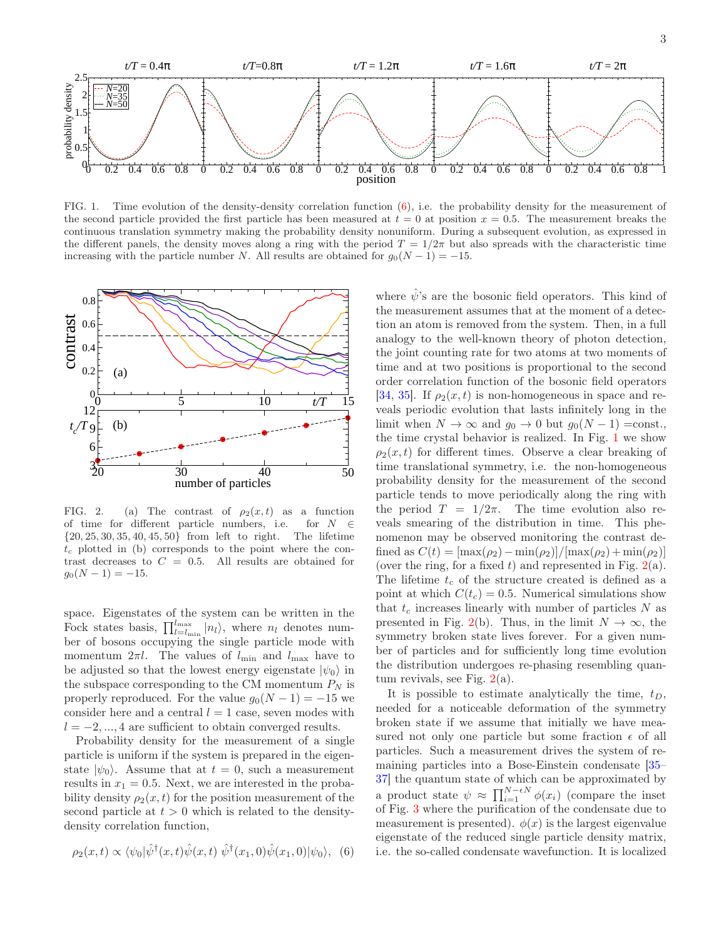

<span id="page-2-1"></span>FIG. 1. Time evolution of the density-density correlation function [\(6\)](#page-2-0), i.e. the probability density for the measurement of the second particle provided the first particle has been measured at  $t = 0$  at position  $x = 0.5$ . The measurement breaks the continuous translation symmetry making the probability density nonuniform. During a subsequent evolution, as expressed in the different panels, the density moves along a ring with the period  $T = 1/2\pi$  but also spreads with the characteristic time increasing with the particle number N. All results are obtained for  $q_0(N-1) = -15$ .



<span id="page-2-2"></span>FIG. 2. (a) The contrast of  $\rho_2(x,t)$  as a function of time for different particle numbers, i.e. for  $N \in$  $\{20, 25, 30, 35, 40, 45, 50\}$  from left to right. The lifetime  $t_c$  plotted in (b) corresponds to the point where the contrast decreases to  $C = 0.5$ . All results are obtained for  $g_0(N-1) = -15.$ 

space. Eigenstates of the system can be written in the Fock states basis,  $\prod_{l=l_{\min}}^{l_{\max}} |n_l\rangle$ , where  $n_l$  denotes number of bosons occupying the single particle mode with momentum  $2\pi l$ . The values of  $l_{\min}$  and  $l_{\max}$  have to be adjusted so that the lowest energy eigenstate  $|\psi_0\rangle$  in the subspace corresponding to the CM momentum  $P_N$  is properly reproduced. For the value  $g_0(N-1) = -15$  we consider here and a central  $l = 1$  case, seven modes with  $l = -2, ..., 4$  are sufficient to obtain converged results.

Probability density for the measurement of a single particle is uniform if the system is prepared in the eigenstate  $|\psi_0\rangle$ . Assume that at  $t = 0$ , such a measurement results in  $x_1 = 0.5$ . Next, we are interested in the probability density  $\rho_2(x, t)$  for the position measurement of the second particle at  $t > 0$  which is related to the densitydensity correlation function,

<span id="page-2-0"></span>
$$
\rho_2(x,t) \propto \langle \psi_0 | \hat{\psi}^\dagger(x,t) \hat{\psi}(x,t) \hat{\psi}^\dagger(x_1,0) \hat{\psi}(x_1,0) | \psi_0 \rangle, \tag{6}
$$

where  $\hat{\psi}$ 's are the bosonic field operators. This kind of the measurement assumes that at the moment of a detection an atom is removed from the system. Then, in a full analogy to the well-known theory of photon detection, the joint counting rate for two atoms at two moments of time and at two positions is proportional to the second order correlation function of the bosonic field operators [\[34,](#page-4-22) [35\]](#page-4-23). If  $\rho_2(x,t)$  is non-homogeneous in space and reveals periodic evolution that lasts infinitely long in the limit when  $N \to \infty$  and  $g_0 \to 0$  but  $g_0(N-1) = \text{const.}$ , the time crystal behavior is realized. In Fig. [1](#page-2-1) we show  $\rho_2(x, t)$  for different times. Observe a clear breaking of time translational symmetry, i.e. the non-homogeneous probability density for the measurement of the second particle tends to move periodically along the ring with the period  $T = 1/2\pi$ . The time evolution also reveals smearing of the distribution in time. This phenomenon may be observed monitoring the contrast defined as  $C(t) = [\max(\rho_2) - \min(\rho_2)]/[\max(\rho_2) + \min(\rho_2)]$ (over the ring, for a fixed t) and represented in Fig.  $2(a)$  $2(a)$ . The lifetime  $t_c$  of the structure created is defined as a point at which  $C(t_c) = 0.5$ . Numerical simulations show that  $t_c$  increases linearly with number of particles  $N$  as presented in Fig. [2\(](#page-2-2)b). Thus, in the limit  $N \to \infty$ , the symmetry broken state lives forever. For a given number of particles and for sufficiently long time evolution the distribution undergoes re-phasing resembling quantum revivals, see Fig.  $2(a)$  $2(a)$ .

It is possible to estimate analytically the time,  $t_D$ , needed for a noticeable deformation of the symmetry broken state if we assume that initially we have measured not only one particle but some fraction  $\epsilon$  of all particles. Such a measurement drives the system of remaining particles into a Bose-Einstein condensate [\[35](#page-4-23)– [37](#page-4-24)] the quantum state of which can be approximated by a product state  $\psi \approx \prod_{i=1}^{N-\epsilon N} \phi(x_i)$  (compare the inset of Fig. [3](#page-3-0) where the purification of the condensate due to measurement is presented).  $\phi(x)$  is the largest eigenvalue eigenstate of the reduced single particle density matrix, i.e. the so-called condensate wavefunction. It is localized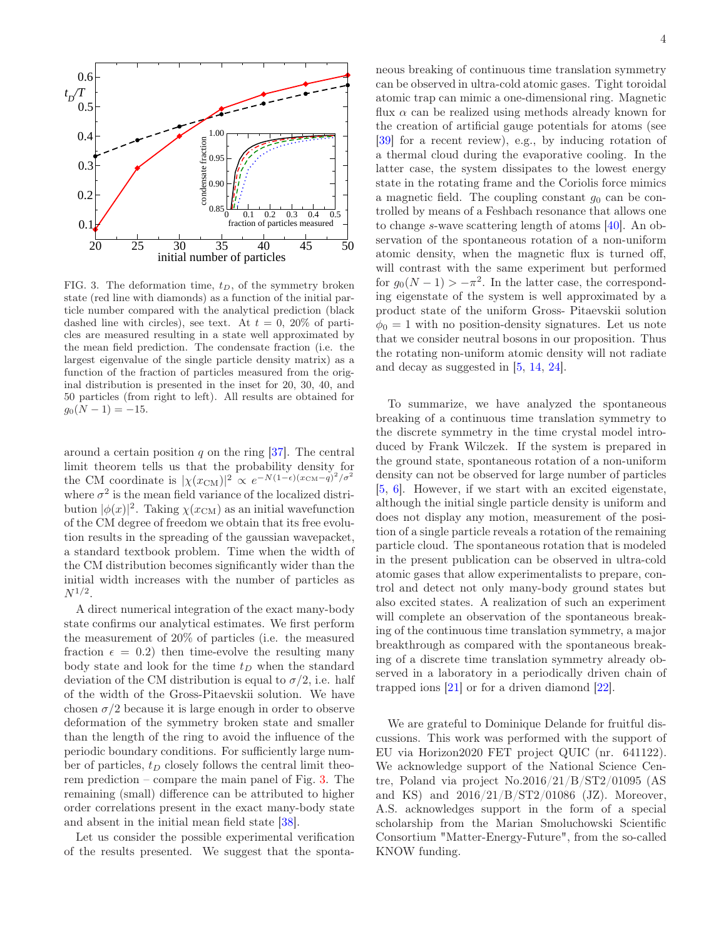

<span id="page-3-0"></span>FIG. 3. The deformation time,  $t_D$ , of the symmetry broken state (red line with diamonds) as a function of the initial particle number compared with the analytical prediction (black dashed line with circles), see text. At  $t = 0$ , 20% of particles are measured resulting in a state well approximated by the mean field prediction. The condensate fraction (i.e. the largest eigenvalue of the single particle density matrix) as a function of the fraction of particles measured from the original distribution is presented in the inset for 20, 30, 40, and 50 particles (from right to left). All results are obtained for  $g_0(N-1) = -15.$ 

around a certain position q on the ring  $[37]$ . The central limit theorem tells us that the probability density for the CM coordinate is  $|\chi(x_{\text{CM}})|^2 \propto e^{-N(1-\epsilon)(x_{\text{CM}}-\tilde{q})^2/\sigma^2}$ where  $\sigma^2$  is the mean field variance of the localized distribution  $|\phi(x)|^2$ . Taking  $\chi(x_{\text{CM}})$  as an initial wavefunction of the CM degree of freedom we obtain that its free evolution results in the spreading of the gaussian wavepacket, a standard textbook problem. Time when the width of the CM distribution becomes significantly wider than the initial width increases with the number of particles as  $N^{1/2}.$ 

A direct numerical integration of the exact many-body state confirms our analytical estimates. We first perform the measurement of 20% of particles (i.e. the measured fraction  $\epsilon = 0.2$ ) then time-evolve the resulting many body state and look for the time  $t_D$  when the standard deviation of the CM distribution is equal to  $\sigma/2$ , i.e. half of the width of the Gross-Pitaevskii solution. We have chosen  $\sigma/2$  because it is large enough in order to observe deformation of the symmetry broken state and smaller than the length of the ring to avoid the influence of the periodic boundary conditions. For sufficiently large number of particles,  $t_D$  closely follows the central limit theorem prediction – compare the main panel of Fig. [3.](#page-3-0) The remaining (small) difference can be attributed to higher order correlations present in the exact many-body state and absent in the initial mean field state [\[38\]](#page-4-25).

Let us consider the possible experimental verification of the results presented. We suggest that the spontaneous breaking of continuous time translation symmetry can be observed in ultra-cold atomic gases. Tight toroidal atomic trap can mimic a one-dimensional ring. Magnetic flux  $\alpha$  can be realized using methods already known for the creation of artificial gauge potentials for atoms (see [\[39\]](#page-4-26) for a recent review), e.g., by inducing rotation of a thermal cloud during the evaporative cooling. In the latter case, the system dissipates to the lowest energy state in the rotating frame and the Coriolis force mimics a magnetic field. The coupling constant  $g_0$  can be controlled by means of a Feshbach resonance that allows one to change s-wave scattering length of atoms [\[40](#page-4-27)]. An observation of the spontaneous rotation of a non-uniform atomic density, when the magnetic flux is turned off, will contrast with the same experiment but performed for  $g_0(N-1) > -\pi^2$ . In the latter case, the corresponding eigenstate of the system is well approximated by a product state of the uniform Gross- Pitaevskii solution  $\phi_0 = 1$  with no position-density signatures. Let us note that we consider neutral bosons in our proposition. Thus

To summarize, we have analyzed the spontaneous breaking of a continuous time translation symmetry to the discrete symmetry in the time crystal model introduced by Frank Wilczek. If the system is prepared in the ground state, spontaneous rotation of a non-uniform density can not be observed for large number of particles [\[5,](#page-4-4) [6\]](#page-4-5). However, if we start with an excited eigenstate, although the initial single particle density is uniform and does not display any motion, measurement of the position of a single particle reveals a rotation of the remaining particle cloud. The spontaneous rotation that is modeled in the present publication can be observed in ultra-cold atomic gases that allow experimentalists to prepare, control and detect not only many-body ground states but also excited states. A realization of such an experiment will complete an observation of the spontaneous breaking of the continuous time translation symmetry, a major breakthrough as compared with the spontaneous breaking of a discrete time translation symmetry already observed in a laboratory in a periodically driven chain of trapped ions [\[21\]](#page-4-13) or for a driven diamond [\[22\]](#page-4-14).

the rotating non-uniform atomic density will not radiate

and decay as suggested in [\[5,](#page-4-4) [14,](#page-4-8) [24\]](#page-4-28).

We are grateful to Dominique Delande for fruitful discussions. This work was performed with the support of EU via Horizon2020 FET project QUIC (nr. 641122). We acknowledge support of the National Science Centre, Poland via project No.2016/21/B/ST2/01095 (AS and KS) and 2016/21/B/ST2/01086 (JZ). Moreover, A.S. acknowledges support in the form of a special scholarship from the Marian Smoluchowski Scientific Consortium "Matter-Energy-Future", from the so-called KNOW funding.